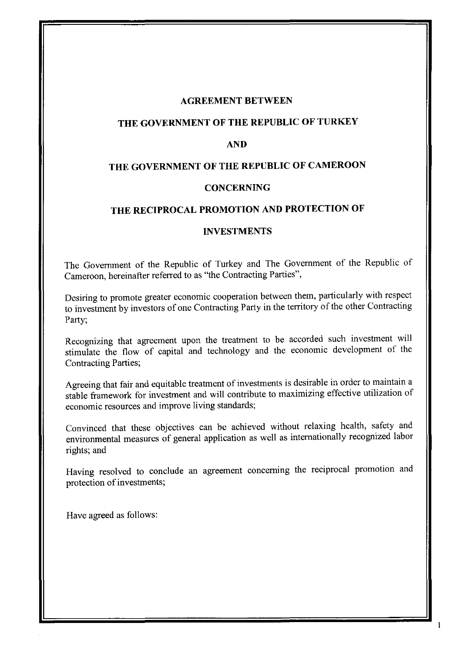#### **AGREEMENT BETWEEN**

## **THE GOVERNMENT OF THE REPUBLIC OF TURKEY**

#### **AND**

## **THE GOVERNMENT OF THE REPUBLIC OF CAMEROON**

#### **CONCERNING**

#### **THE RECIPROCAL PROMOTION AND PROTECTION OF**

#### **INVESTMENTS**

The Government of the Republic of Turkey and The Government of the Republic of Cameroon, hereinafter referred to as "the Contracting Parties",

Desiring to promote greater economic cooperation between them, particularly with respect to investment by investors of one Contracting Party in the territory of the other Contracting Party;

Recognizing that agreement upon the treatment to be accorded such investment will stimulate the flow of capital and technology and the economic development of the Contracting Parties;

Agreeing that fair and equitable treatment of investments is desirable in order to maintain a stable framework for investment and will contribute to maximizing effective utilization of economic resources and improve living standards;

Convinced that these objectives can be achieved without relaxing health, safety and environmental measures of general application as well as internationally recognized labor rights; and

Having resolved to conclude an agreement concerning the reciprocal promotion and protection of investments;

 $\mathbf{1}$ 

Have agreed as follows: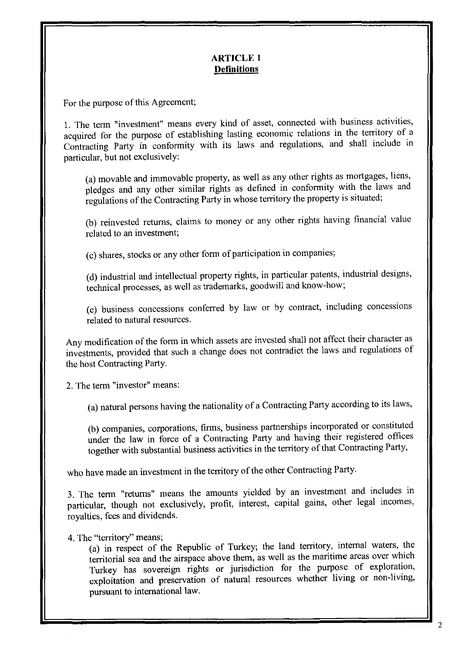## **ARTICLE 1 Definitions**

For the purpose of this Agreement;

1. The term "investment" means every kind of asset, connected with business activities, acquired for the purpose of establishing lasting economic relations in the territory of a Contracting Party in conformity with its laws and regulations, and shall include in particular, but not exclusively:

(a) movable and immovable property, as well as any other rights as mortgages, liens, pledges and any other similar rights as defined in conformity with the laws and regulations of the Contracting Party in whose territory the property is situated;

(b) reinvested returns, claims to money or any other rights having financial value related to an investment;

(c) shares, stocks or any other form of participation in companies;

(d) industrial and intellectual property rights, in particular patents, industrial designs, technical processes, as well as trademarks, goodwill and know-how;

(e) business concessions conferred by law or by contract, including concessions related to natural resources.

Any modification of the form in which assets are invested shall not affect their character as investments, provided that such a change does not contradict the laws and regulations of the host Contracting Party.

2. The term "investor" means:

(a) natural persons having the nationality of a Contracting Party according to its laws,

(b) companies, corporations, firms, business partnerships incorporated or constituted under the law in force of a Contracting Party and having their registered offices together with substantial business activities in the territory of that Contracting Party,

who have made an investment in the territory of the other Contracting Party.

3. The term "returns" means the amounts yielded by an investment and includes in particular, though not exclusively, profit, interest, capital gains, other legal incomes, royalties, fees and dividends.

4. The "territory" means;

(a) in respect of the Republic of Turkey; the land territory, internal waters, the territorial sea and the airspace above them, as well as the maritime areas over which Turkey has sovereign rights or jurisdiction for the purpose of exploration, exploitation and preservation of natural resources whether living or non-living, pursuant to international law.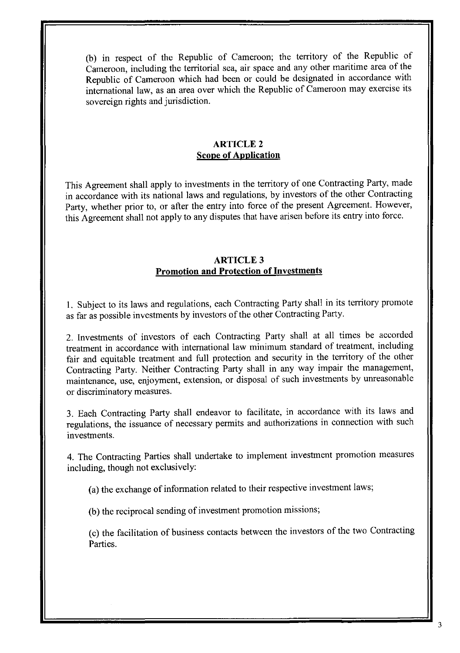(b) in respect of the Republic of Cameroon; the territory of the Republic of Cameroon, including the territorial sea, air space and any other maritime area of the Republic of Cameroon which had been or could be designated in accordance with international law, as an area over which the Republic of Cameroon may exercise its sovereign rights and jurisdiction.

## ARTICLE 2 **Scope of Application**

This Agreement shall apply to investments in the territory of one Contracting Party, made in accordance with its national laws and regulations, by investors of the other Contracting Party, whether prior to, or after the entry into force of the present Agreement. However, this Agreement shall not apply to any disputes that have arisen before its entry into force.

## ARTICLE 3 **Promotion and Protection of Investments**

1. Subject to its laws and regulations, each Contracting Party shall in its territory promote as far as possible investments by investors of the other Contracting Party.

2. Investments of investors of each Contracting Party shall at all times be accorded treatment in accordance with international law minimum standard of treatment, including fair and equitable treatment and full protection and security in the territory of the other Contracting Party. Neither Contracting Party shall in any way impair the management, maintenance, use, enjoyment, extension, or disposal of such investments by unreasonable or discriminatory measures.

3. Each Contracting Party shall endeavor to facilitate, in accordance with its laws and regulations, the issuance of necessary permits and authorizations in connection with such investments.

4. The Contracting Parties shall undertake to implement investment promotion measures including, though not exclusively:

(a) the exchange of information related to their respective investment laws;

(b) the reciprocal sending of investment promotion missions;

(c) the facilitation of business contacts between the investors of the two Contracting Parties.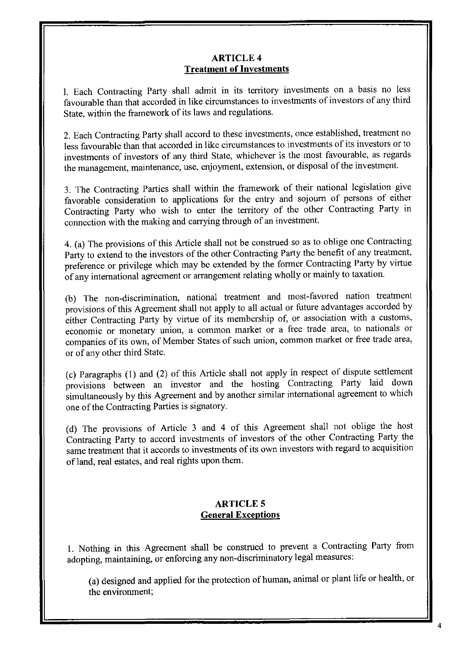#### ARTICLE 4 **Treatment of Investments**

I. Each Contracting Party shall admit in its territory investments on a basis no less favourable than that accorded in like circumstances to investments of investors of any third State, within the framework of its laws and regulations.

2. Each Contracting Party shall accord to these investments, once established, treatment no less favourable than that accorded in like circumstances to investments of its investors or to investments of investors of any third State, whichever is the most favourable, as regards the management, maintenance, use, enjoyment, extension, or disposal of the investment.

3. The Contracting Parties shall within the framework of their national legislation give favorable consideration to applications for the entry and sojourn of persons of either Contracting Party who wish to enter the territory of the other Contracting Party in connection with the making and carrying through of an investment.

4. (a) The provisions of this Article shall not be construed so as to oblige one Contracting Party to extend to the investors of the other Contracting Party the benefit of any treatment, preference or privilege which may be extended by the former Contracting Party by virtue of any international agreement or arrangement relating wholly or mainly to taxation.

(b) The non-discrimination, national treatment and most-favored nation treatment provisions of this Agreement shall not apply to all actual or future advantages accorded by either Contracting Party by virtue of its membership of, or association with a customs, economic or monetary union, a common market or a free trade area, to nationals or companies of its own, of Member States of such union, common market or free trade area, or of any other third State.

(c) Paragraphs (1) and (2) of this Article shall not apply in respect of dispute settlement provisions between an investor and the hosting Contracting Party laid down simultaneously by this Agreement and by another similar international agreement to which one of the Contracting Parties is signatory.

(d) The provisions of Article 3 and 4 of this Agreement shall not oblige the host Contracting Party to accord investments of investors of the other Contracting Party the same treatment that it accords to investments of its own investors with regard to acquisition of land, real estates, and real rights upon them.

# **ARTICLES General Exceptions**

I. Nothing in this Agreement shall be construed to prevent a Contracting Party from adopting, maintaining, or enforcing any non-discriminatory legal measures:

(a) designed and applied for the protection of human, animal or plant life or health, or the environment;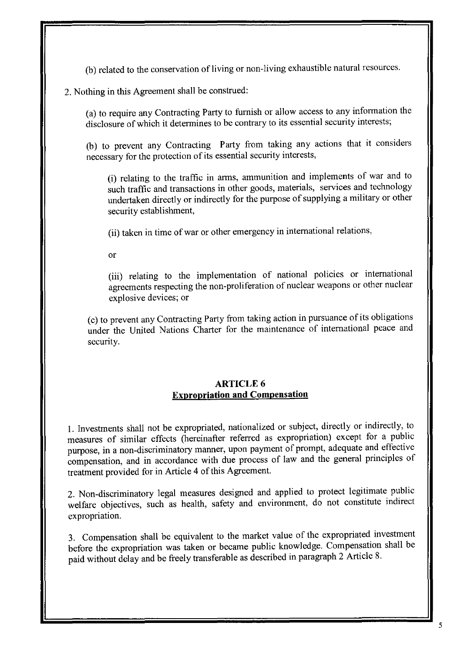(b) related to the conservation of living or non-living exhaustible natural resources.

## 2. Nothing in this Agreement shall be construed:

(a) to require any Contracting Party to furnish or allow access to any information the disclosure of which it determines to be contrary to its essential security interests;

(b) to prevent any Contracting Party from taking any actions that it considers necessary for the protection of its essential security interests,

(i) relating to the traffic in arms, ammunition and implements of war and to such traffic and transactions in other goods, materials, services and technology undertaken directly or indirectly for the purpose of supplying a military or other security establishment,

(ii) taken in time of war or other emergency in international relations,

or

(iii) relating to the implementation of national policies or international agreements respecting the non-proliferation of nuclear weapons or other nuclear explosive devices; or

(c) to prevent any Contracting Party from taking action in pursuance of its obligations under the United Nations Charter for the maintenance of international peace and security.

### ARTICLE 6 **Expropriation and Compensation**

1. Investments shall not be expropriated, nationalized or subject, directly or indirectly, to measures of similar effects (hereinafter referred as expropriation) except for a public purpose, in a non-discriminatory manner, upon payment of prompt, adequate and effective compensation, and in accordance with due process of law and the general principles of treatment provided for in Article 4 of this Agreement.

2. Non-discriminatory legal measures designed and applied to protect legitimate public welfare objectives, such as health, safety and environment, do not constitute indirect expropriation.

3. Compensation shall be equivalent to the market value of the expropriated investment before the expropriation was taken or became public knowledge. Compensation shall be paid without delay and be freely transferable as described in paragraph 2 Article 8.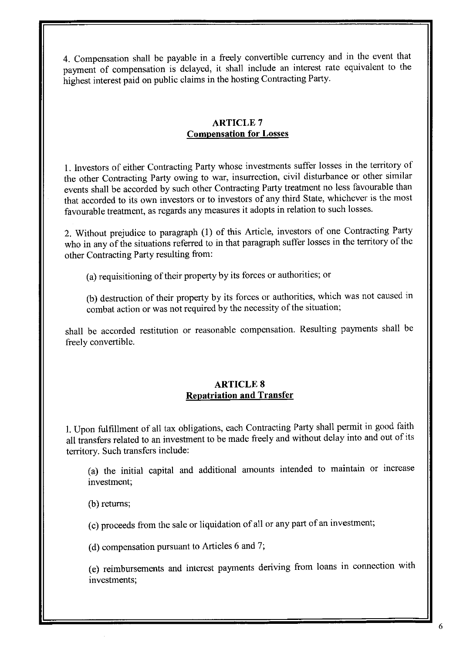4. Compensation shall be payable in a freely convertible currency and in the event that payment of compensation is delayed, it shall include an interest rate equivalent to the highest interest paid on public claims in the hosting Contracting Party.

## ARTICLE 7 **Compensation for Losses**

I. Investors of either Contracting Party whose investments suffer losses in the territory of the other Contracting Party owing to war, insurrection, civil disturbance or other similar events shall be accorded by such other Contracting Party treatment no less favourable than that accorded to its own investors or to investors of any third State, whichever is the most favourable treatment, as regards any measures it adopts in relation to such losses.

2. Without prejudice to paragraph (I) of this Article, investors of one Contracting Party who in any of the situations referred to in that paragraph suffer losses in the territory of the other Contracting Party resulting from:

(a) requisitioning of their property by its forces or authorities; or

(b) destruction of their property by its forces or authorities, which was not caused in combat action or was not required by the necessity of the situation;

shall be accorded restitution or reasonable compensation. Resulting payments shall be freely convertible.

### **ARTICLES Repatriation and Transfer**

I. Upon fulfillment of all tax obligations, each Contracting Party shall permit in good faith all transfers related to an investment to be made freely and without delay into and out of its territory. Such transfers include:

(a) the initial capital and additional amounts intended to maintain or mcrease investment;

(b) returns;

(c) proceeds from the sale or liquidation of all or any part of an investment;

(d) compensation pursuant to Articles 6 and 7;

(e) reimbursements and interest payments deriving from loans in connection with investments;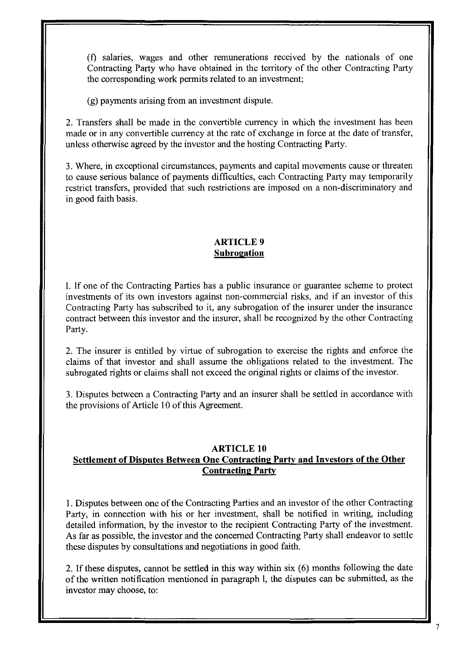(f) salaries, wages and other remunerations received by the nationals of one Contracting Party who have obtained in the territory of the other Contracting Party the corresponding work permits related to an investment;

(g) payments arising from an investment dispute.

2. Transfers shall be made in the convertible currency in which the investment has been made or in any convertible currency at the rate of exchange in force at the date of transfer, unless otherwise agreed by the investor and the hosting Contracting Party.

3. Where, in exceptional circumstances, payments and capital movements cause or threaten to cause serious balance of payments difficulties, each Contracting Party may temporarily restrict transfers, provided that such restrictions are imposed on a non-discriminatory and in good faith basis.

## ARTICLE 9 **Subrogation**

I. If one of the Contracting Parties has a public insurance or guarantee scheme to protect investments of its own investors against non-commercial risks, and if an investor of this Contracting Party has subscribed to it, any subrogation of the insurer under the insurance contract between this investor and the insurer, shall be recognized by the other Contracting Party.

2. The insurer is entitled by virtue of subrogation to exercise the rights and enforce the claims of that investor and shall assume the obligations related to the investment. The subrogated rights or claims shall not exceed the original rights or claims of the investor.

3. Disputes between a Contracting Party and an insurer shall be settled in accordance with the provisions of Article 10 of this Agreement.

#### **ARTICLE 10 Settlement of Disputes Between One Contracting Party and** Investors **of the Other Contracting Party**

I. Disputes between one of the Contracting Parties and an investor of the other Contracting Party, in connection with his or her investment, shall be notified in writing, including detailed information, by the investor to the recipient Contracting Party of the investment. As far as possible, the investor and the concerned Contracting Party shall endeavor to settle these disputes by consultations and negotiations in good faith.

2. If these disputes, cannot be settled in this way within six (6) months following the date of the written notification mentioned in paragraph I, the disputes can be submitted, as the investor may choose, to: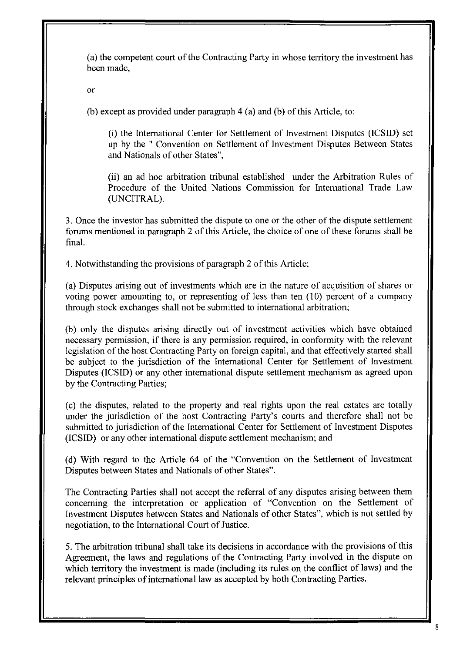(a) the competent court of the Contracting Party in whose territory the investment has been made,

or

(b) except as provided under paragraph 4 (a) and (b) of this Article, to:

(i) the International Center for Settlement of Investment Disputes (ICSID) set up by the" Convention on Settlement of Investment Disputes Between States and Nationals of other States",

(ii) an ad hoc arbitration tribunal established under the Arbitration Rules of Procedure of the United Nations Commission for International Trade Law (UNCITRAL).

3. Once the investor has submitted the dispute to one or the other of the dispute settlement forums mentioned in paragraph 2 of this Article, the choice of one of these forums shall be final.

4. Notwithstanding the provisions of paragraph 2 of this Article;

(a) Disputes arising out of investments which are in the nature of acquisition of shares or voting power amounting to, or representing of less than ten (10) percent of a company through stock exchanges shall not be submitted to international arbitration;

(b) only the disputes arising directly out of investment activities which have obtained necessary permission, if there is any permission required, in conformity with the relevant legislation of the host Contracting Party on foreign capital, and that effectively started shall be subject to the jurisdiction of the International Center for Settlement of Investment Disputes (lCSID) or any other international dispute settlement mechanism as agreed upon by the Contracting Parties;

(c) the disputes, related to the property and real rights upon the real estates are totally under the jurisdiction of the host Contracting Party's courts and therefore shall not be submitted to jurisdiction of the International Center for Settlement of Investment Disputes (lCSID) or any other international dispute settlement mechanism; and

(d) With regard to the Article 64 of the "Convention on the Settlement of Investment Disputes between States and Nationals of other States".

The Contracting Parties shall not accept the referral of any disputes arising between them concerning the interpretation or application of "Convention on the Settlement of Investment Disputes between States and Nationals of other States", which is not settled by negotiation, to the International Court of Justice.

5. The arbitration tribunal shall take its decisions in accordance with the provisions of this Agreement, the laws and regulations of the Contracting Party involved in the dispute on which territory the investment is made (including its rules on the conflict of laws) and the relevant principles of intemationallaw as accepted by both Contracting Parties.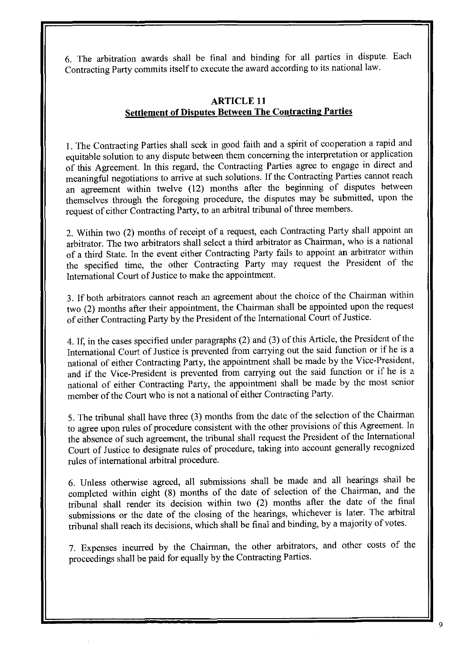6. The arbitration awards shall be final and binding for all parties in dispute. Each Contracting Party commits itself to execute the award according to its national law.

# **ARTICLE 11 Settlement of Disputes Between The Contracting Parties**

1. The Contracting Parties shall seek in good faith and a spirit of cooperation a rapid and equitable solution to any dispute between them concerning the interpretation or application of this Agreement. In this regard, the Contracting Parties agree to engage in direct and meaningful negotiations to arrive at such solutions. If the Contracting Parties cannot reach an agreement within twelve (12) months after the beginning of disputes between themselves through the foregoing procedure, the disputes may be submitted, upon the request of either Contracting Party, to an arbitral tribunal of three members.

2. Within two (2) months of receipt of a request, each Contracting Party shall appoint an arbitrator. The two arbitrators shall select a third arbitrator as Chairman, who is a national of a third State. In the event either Contracting Party fails to appoint **an** arbitrator within the specified time, the other Contracting Party may request the President of the International Court of Justice to make the appointment.

3. If both arbitrators cannot reach an agreement about the choice of the Chairman within two (2) months after their appointment, the Chairman shall be appointed upon the request of either Contracting Party by the President of the International Court of Justice.

4. If, in the cases specified under paragraphs (2) and (3) of this Article, the President of the International Court of Justice is prevented from carrying out the said function or if he is a national of either Contracting Party, the appointment shall be made by the Vice-President, and if the Vice-President is prevented from carrying out the said function or if he is a national of either Contracting Party, the appointment shall be made by the most senior member of the Court who is not a national of either Contracting Party.

5. The tribunal shall have three (3) months from the date of the selection of the Chairman to agree upon rules of procedure consistent with the other provisions of this Agreement. In the absence of such agreement, the tribunal shall request the President of the International Court of Justice to designate rules of procedure, taking into account generally recognized rules of international arbitral procedure.

6. Unless otherwise agreed, all submissions shall be made and all hearings shall be completed within eight (8) months of the date of selection of the Chairman, and the tribunal shall render its decision within two (2) months after the date of the final submissions or the date of the closing of the hearings, whichever is later. The arbitral tribunal shall reach its decisions, which shall be final and binding, by a majority of votes.

7. Expenses incurred by the Chairman, the other arbitrators, and other costs of the proceedings shall be paid for equally by the Contracting Parties.